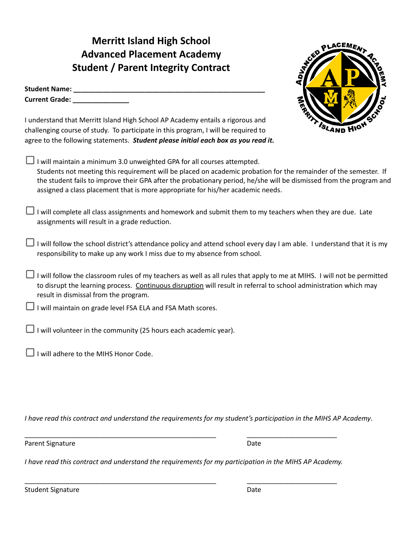**Merritt Island High School Advanced Placement Academy Student / Parent Integrity Contract**

| <b>Student Name:</b>  |  |
|-----------------------|--|
| <b>Current Grade:</b> |  |



I understand that Merritt Island High School AP Academy entails a rigorous and challenging course of study. To participate in this program, I will be required to agree to the following statements. *Student please initial each box as you read it.*

- I will maintain a minimum 3.0 unweighted GPA for all courses attempted. Students not meeting this requirement will be placed on academic probation for the remainder of the semester. If the student fails to improve their GPA after the probationary period, he/she will be dismissed from the program and assigned a class placement that is more appropriate for his/her academic needs.
- I will complete all class assignments and homework and submit them to my teachers when they are due. Late assignments will result in a grade reduction.
- $\Box$  I will follow the school district's attendance policy and attend school every day I am able. I understand that it is my responsibility to make up any work I miss due to my absence from school.
- I will follow the classroom rules of my teachers as well as all rules that apply to me at MIHS. I will not be permitted to disrupt the learning process. Continuous disruption will result in referral to school administration which may result in dismissal from the program.
- $\Box$  I will maintain on grade level FSA ELA and FSA Math scores.
- $\Box$  I will volunteer in the community (25 hours each academic year).
- $\Box$  I will adhere to the MIHS Honor Code.

I have read this contract and understand the requirements for my student's participation in the MIHS AP Academy.

Parent Signature Date

*I have read this contract and understand the requirements for my participation in the MIHS AP Academy.*

\_\_\_\_\_\_\_\_\_\_\_\_\_\_\_\_\_\_\_\_\_\_\_\_\_\_\_\_\_\_\_\_\_\_\_\_\_\_\_\_\_\_\_\_\_\_\_\_\_\_\_ \_\_\_\_\_\_\_\_\_\_\_\_\_\_\_\_\_\_\_\_\_\_\_\_

\_\_\_\_\_\_\_\_\_\_\_\_\_\_\_\_\_\_\_\_\_\_\_\_\_\_\_\_\_\_\_\_\_\_\_\_\_\_\_\_\_\_\_\_\_\_\_\_\_\_\_ \_\_\_\_\_\_\_\_\_\_\_\_\_\_\_\_\_\_\_\_\_\_\_\_

Student Signature Date Date Date